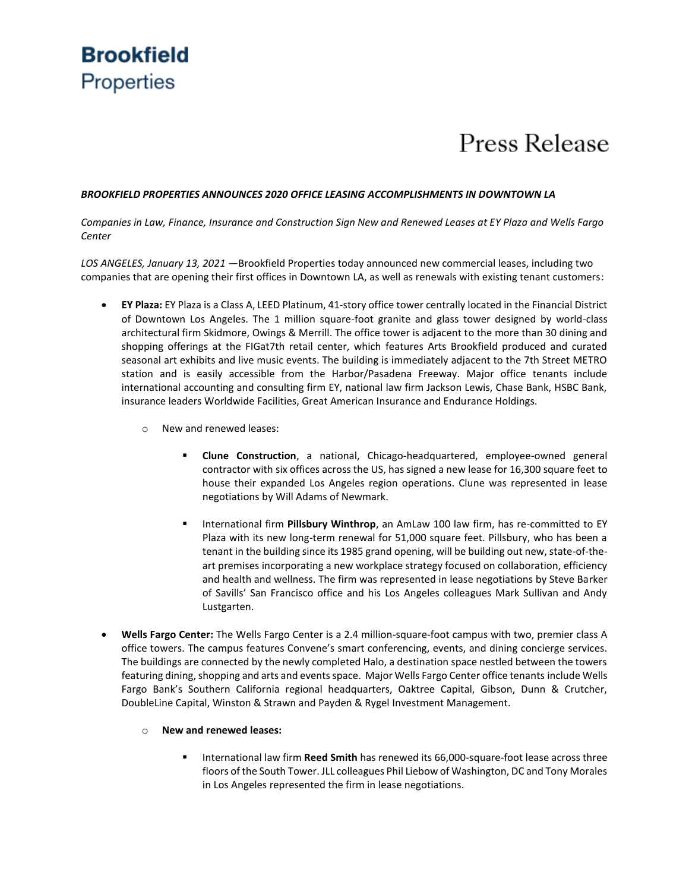## **Brookfield Properties**

## Press Release

## *BROOKFIELD PROPERTIES ANNOUNCES 2020 OFFICE LEASING ACCOMPLISHMENTS IN DOWNTOWN LA*

*Companies in Law, Finance, Insurance and Construction Sign New and Renewed Leases at EY Plaza and Wells Fargo Center*

*LOS ANGELES, January 13, 2021 —*Brookfield Properties today announced new commercial leases, including two companies that are opening their first offices in Downtown LA, as well as renewals with existing tenant customers:

- **EY Plaza:** EY Plaza is a Class A, LEED Platinum, 41-story office tower centrally located in the Financial District of Downtown Los Angeles. The 1 million square-foot granite and glass tower designed by world-class architectural firm Skidmore, Owings & Merrill. The office tower is adjacent to the more than 30 dining and shopping offerings at the FIGat7th retail center, which features Arts Brookfield produced and curated seasonal art exhibits and live music events. The building is immediately adjacent to the 7th Street METRO station and is easily accessible from the Harbor/Pasadena Freeway. Major office tenants include international accounting and consulting firm EY, national law firm Jackson Lewis, Chase Bank, HSBC Bank, insurance leaders Worldwide Facilities, Great American Insurance and Endurance Holdings.
	- o New and renewed leases:
		- **Clune Construction**, a national, Chicago-headquartered, employee-owned general contractor with six offices across the US, has signed a new lease for 16,300 square feet to house their expanded Los Angeles region operations. Clune was represented in lease negotiations by Will Adams of Newmark.
		- International firm **Pillsbury Winthrop**, an AmLaw 100 law firm, has re-committed to EY Plaza with its new long-term renewal for 51,000 square feet. Pillsbury, who has been a tenant in the building since its 1985 grand opening, will be building out new, state-of-theart premises incorporating a new workplace strategy focused on collaboration, efficiency and health and wellness. The firm was represented in lease negotiations by Steve Barker of Savills' San Francisco office and his Los Angeles colleagues Mark Sullivan and Andy Lustgarten.
- **Wells Fargo Center:** The Wells Fargo Center is a 2.4 million-square-foot campus with two, premier class A office towers. The campus features Convene's smart conferencing, events, and dining concierge services. The buildings are connected by the newly completed Halo, a destination space nestled between the towers featuring dining, shopping and arts and events space. Major Wells Fargo Center office tenants include Wells Fargo Bank's Southern California regional headquarters, Oaktree Capital, Gibson, Dunn & Crutcher, DoubleLine Capital, Winston & Strawn and Payden & Rygel Investment Management.
	- o **New and renewed leases:**
		- International law firm **Reed Smith** has renewed its 66,000-square-foot lease across three floors of the South Tower. JLL colleagues Phil Liebow of Washington, DC and Tony Morales in Los Angeles represented the firm in lease negotiations.